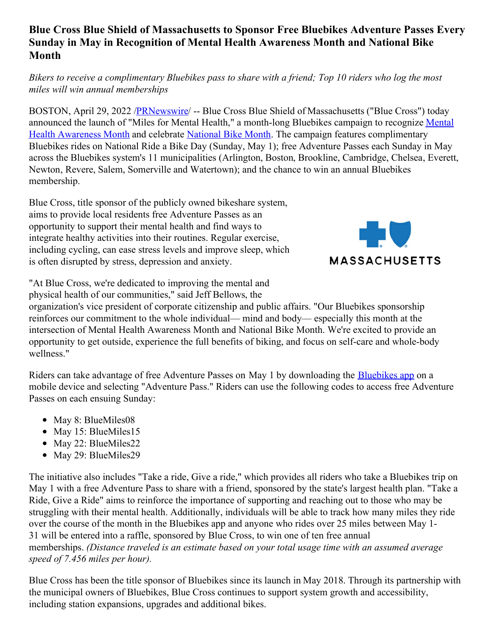## **Blue Cross Blue Shield of Massachusetts to Sponsor Free Bluebikes Adventure Passes Every Sunday in May in Recognition of Mental Health Awareness Month and National Bike Month**

## Bikers to receive a complimentary Bluebikes pass to share with a friend; Top 10 riders who log the most *miles will win annual memberships*

BOSTON, April 29, 2022 [/PRNewswire](http://www.prnewswire.com/)/ -- Blue Cross Blue Shield of Massachusetts ("Blue Cross") today announced the launch of "Miles for Mental Health," a month-long Bluebikes campaign to recognize Mental Health Awareness Month and celebrate [National](https://c212.net/c/link/?t=0&l=en&o=3520520-1&h=884825762&u=https%3A%2F%2Fbikeleague.org%2Fbikemonth&a=National+Bike+Month) Bike Month. The campaign features [complimentary](https://c212.net/c/link/?t=0&l=en&o=3520520-1&h=2538290425&u=https%3A%2F%2Fwww.nami.org%2FGet-Involved%2FAwareness-Events%2FMental-Health-Awareness-Month&a=Mental+Health+Awareness+Month) Bluebikes rides on National Ride a Bike Day (Sunday, May 1); free Adventure Passes each Sunday in May across the Bluebikes system's 11 municipalities (Arlington, Boston, Brookline, Cambridge, Chelsea, Everett, Newton, Revere, Salem, Somerville and Watertown); and the chance to win an annual Bluebikes membership.

Blue Cross, title sponsor of the publicly owned bikeshare system, aims to provide local residents free Adventure Passes as an opportunity to support their mental health and find ways to integrate healthy activities into their routines. Regular exercise, including cycling, can ease stress levels and improve sleep, which is often disrupted by stress, depression and anxiety.



"At Blue Cross, we're dedicated to improving the mental and physical health of our communities," said Jeff Bellows, the

organization's vice president of corporate citizenship and public affairs. "Our Bluebikes sponsorship reinforces our commitment to the whole individual— mind and body— especially this month at the intersection of Mental Health Awareness Month and National Bike Month. We're excited to provide an opportunity to get outside, experience the full benefits of biking, and focus on self-care and whole-body wellness."

Riders can take advantage of free Adventure Passes on May 1 by downloading the [Bluebikes](https://c212.net/c/link/?t=0&l=en&o=3520520-1&h=120713215&u=https%3A%2F%2Fwww.bluebikes.com%2Fhow-it-works%2Fget-the-app&a=Bluebikes+app) app on a mobile device and selecting "Adventure Pass." Riders can use the following codes to access free Adventure Passes on each ensuing Sunday:

- May 8: BlueMiles08
- May 15: BlueMiles15
- May 22: BlueMiles22
- May 29: BlueMiles29

The initiative also includes "Take a ride, Give a ride," which provides all riders who take a Bluebikes trip on May 1 with a free Adventure Pass to share with a friend, sponsored by the state's largest health plan. "Take a Ride, Give a Ride" aims to reinforce the importance of supporting and reaching out to those who may be struggling with their mental health. Additionally, individuals will be able to track how many miles they ride over the course of the month in the Bluebikes app and anyone who rides over 25 miles between May 1- 31 will be entered into a raffle, sponsored by Blue Cross, to win one of ten free annual memberships. *(Distance traveled is an estimate based on your total usage time with an assumed average speed of 7.456 miles per hour).*

Blue Cross has been the title sponsor of Bluebikes since its launch in May 2018. Through its partnership with the municipal owners of Bluebikes, Blue Cross continues to support system growth and accessibility, including station expansions, upgrades and additional bikes.